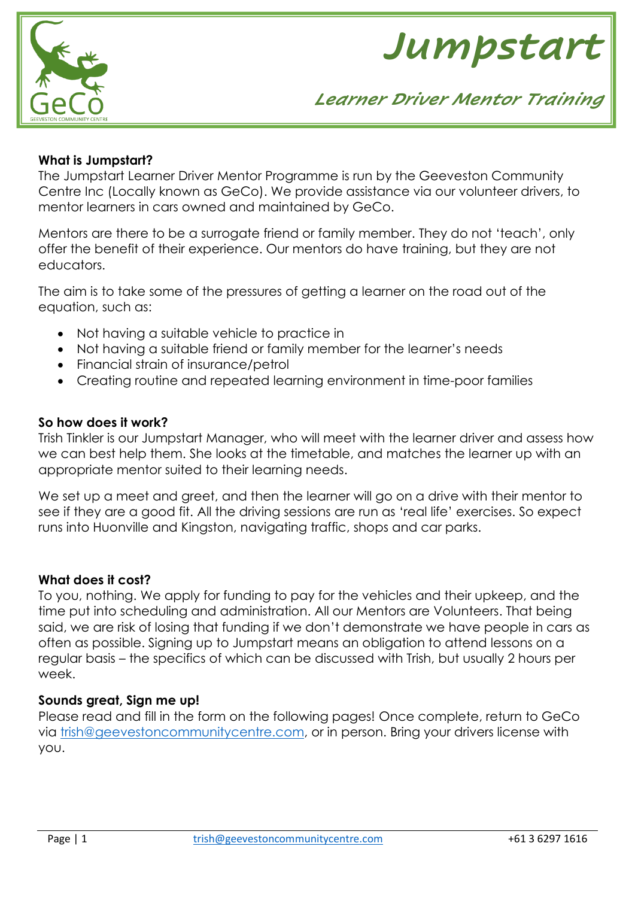



### **What is Jumpstart?**

The Jumpstart Learner Driver Mentor Programme is run by the Geeveston Community Centre Inc (Locally known as GeCo). We provide assistance via our volunteer drivers, to mentor learners in cars owned and maintained by GeCo.

Mentors are there to be a surrogate friend or family member. They do not 'teach', only offer the benefit of their experience. Our mentors do have training, but they are not educators.

The aim is to take some of the pressures of getting a learner on the road out of the equation, such as:

- Not having a suitable vehicle to practice in
- Not having a suitable friend or family member for the learner's needs
- Financial strain of insurance/petrol
- Creating routine and repeated learning environment in time-poor families

### **So how does it work?**

Trish Tinkler is our Jumpstart Manager, who will meet with the learner driver and assess how we can best help them. She looks at the timetable, and matches the learner up with an appropriate mentor suited to their learning needs.

We set up a meet and greet, and then the learner will go on a drive with their mentor to see if they are a good fit. All the driving sessions are run as 'real life' exercises. So expect runs into Huonville and Kingston, navigating traffic, shops and car parks.

### **What does it cost?**

To you, nothing. We apply for funding to pay for the vehicles and their upkeep, and the time put into scheduling and administration. All our Mentors are Volunteers. That being said, we are risk of losing that funding if we don't demonstrate we have people in cars as often as possible. Signing up to Jumpstart means an obligation to attend lessons on a regular basis – the specifics of which can be discussed with Trish, but usually 2 hours per week.

### **Sounds great, Sign me up!**

Please read and fill in the form on the following pages! Once complete, return to GeCo via [trish@geevestoncommunitycentre.com,](mailto:trish@geevestoncommunitycentre.com) or in person. Bring your drivers license with you.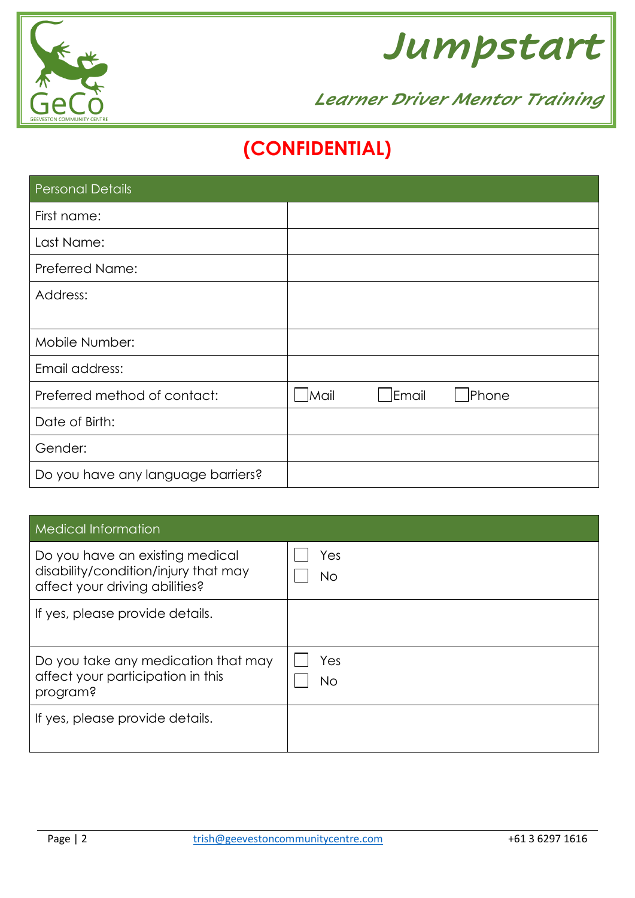



# **(CONFIDENTIAL)**

| <b>Personal Details</b>            |      |       |              |
|------------------------------------|------|-------|--------------|
| First name:                        |      |       |              |
| Last Name:                         |      |       |              |
| <b>Preferred Name:</b>             |      |       |              |
| Address:                           |      |       |              |
|                                    |      |       |              |
| Mobile Number:                     |      |       |              |
| Email address:                     |      |       |              |
| Preferred method of contact:       | Mail | Email | <b>Phone</b> |
| Date of Birth:                     |      |       |              |
| Gender:                            |      |       |              |
| Do you have any language barriers? |      |       |              |

| <b>Medical Information</b>                                                                                |                  |
|-----------------------------------------------------------------------------------------------------------|------------------|
| Do you have an existing medical<br>disability/condition/injury that may<br>affect your driving abilities? | Yes<br>No        |
| If yes, please provide details.                                                                           |                  |
| Do you take any medication that may<br>affect your participation in this<br>program?                      | Yes<br><b>No</b> |
| If yes, please provide details.                                                                           |                  |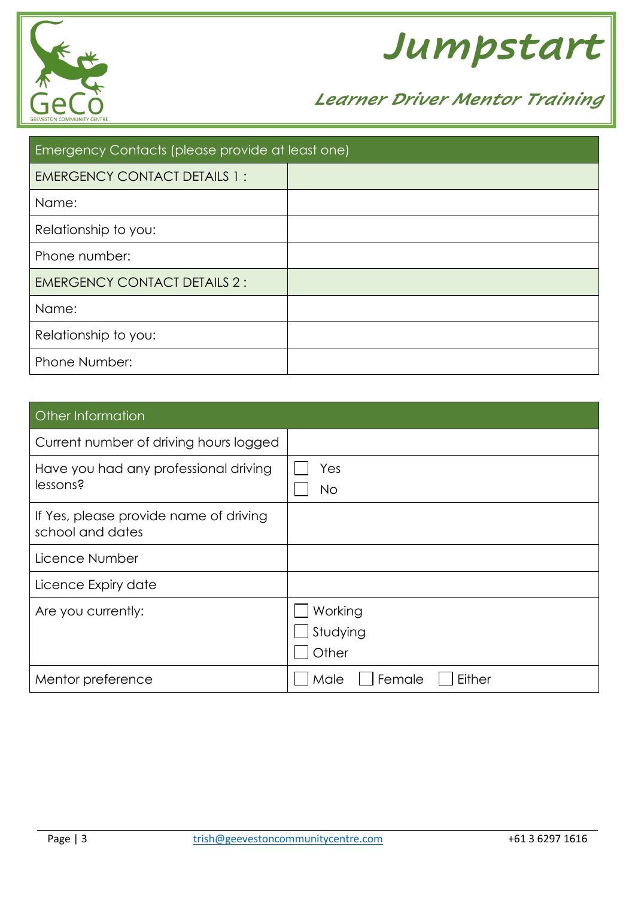



| <b>Emergency Contacts (please provide at least one)</b> |  |  |  |
|---------------------------------------------------------|--|--|--|
| <b>EMERGENCY CONTACT DETAILS 1:</b>                     |  |  |  |
| Name:                                                   |  |  |  |
| Relationship to you:                                    |  |  |  |
| Phone number:                                           |  |  |  |
| <b>EMERGENCY CONTACT DETAILS 2:</b>                     |  |  |  |
| Name:                                                   |  |  |  |
| Relationship to you:                                    |  |  |  |
| Phone Number:                                           |  |  |  |

| Other Information                                          |                              |
|------------------------------------------------------------|------------------------------|
| Current number of driving hours logged                     |                              |
| Have you had any professional driving<br>lessons?          | Yes<br>No.                   |
| If Yes, please provide name of driving<br>school and dates |                              |
| Licence Number                                             |                              |
| Licence Expiry date                                        |                              |
| Are you currently:                                         | Working<br>Studying<br>Other |
| Mentor preference                                          | Male<br>Female<br>Either     |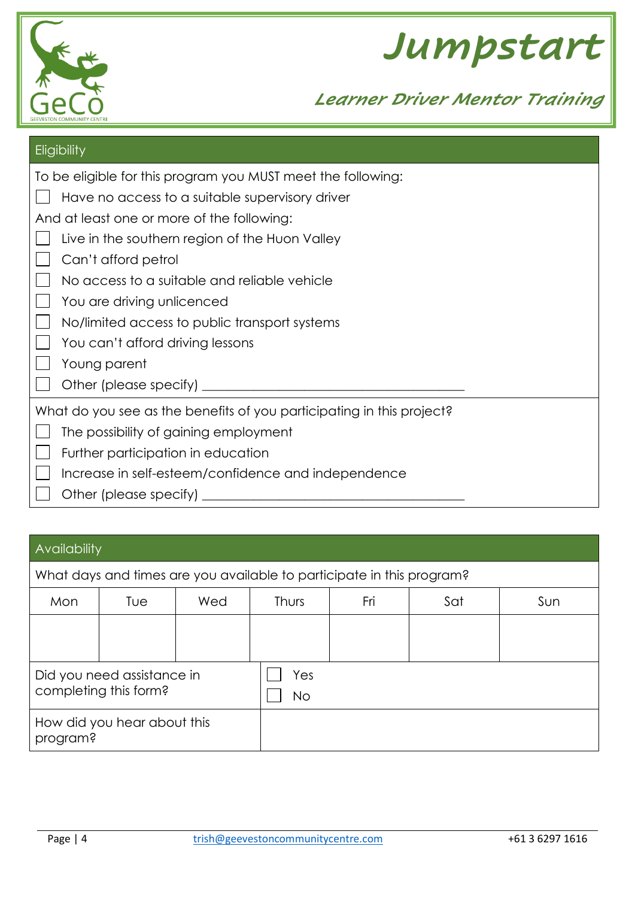



| Eligibility                                                           |
|-----------------------------------------------------------------------|
| To be eligible for this program you MUST meet the following:          |
| Have no access to a suitable supervisory driver                       |
| And at least one or more of the following:                            |
| Live in the southern region of the Huon Valley                        |
| Can't afford petrol                                                   |
| No access to a suitable and reliable vehicle                          |
| You are driving unlicenced                                            |
| No/limited access to public transport systems                         |
| You can't afford driving lessons                                      |
| Young parent                                                          |
| Other (please specify) ________                                       |
| What do you see as the benefits of you participating in this project? |
| The possibility of gaining employment                                 |
| Further participation in education                                    |
| Increase in self-esteem/confidence and independence                   |
| Other (please specify)                                                |

# Availability

| What days and times are you available to participate in this program? |     |           |              |     |     |     |
|-----------------------------------------------------------------------|-----|-----------|--------------|-----|-----|-----|
| Mon                                                                   | Tue | Wed       | <b>Thurs</b> | Fri | Sat | Sun |
|                                                                       |     |           |              |     |     |     |
| Did you need assistance in<br>completing this form?                   |     | Yes<br>No |              |     |     |     |
| How did you hear about this<br>program?                               |     |           |              |     |     |     |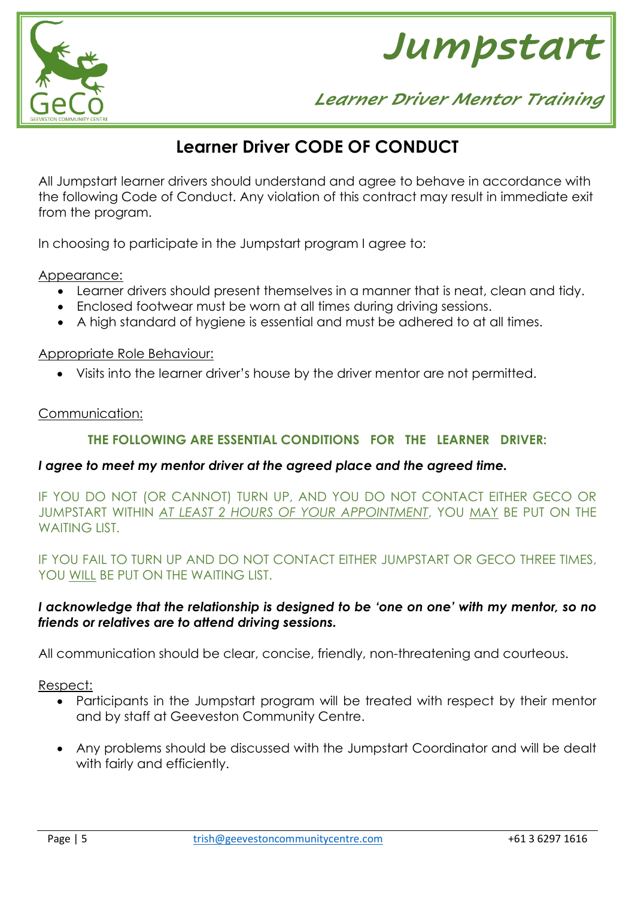



# **Learner Driver CODE OF CONDUCT**

All Jumpstart learner drivers should understand and agree to behave in accordance with the following Code of Conduct. Any violation of this contract may result in immediate exit from the program.

In choosing to participate in the Jumpstart program I agree to:

Appearance:

- Learner drivers should present themselves in a manner that is neat, clean and tidy.
- Enclosed footwear must be worn at all times during driving sessions.
- A high standard of hygiene is essential and must be adhered to at all times.

## Appropriate Role Behaviour:

• Visits into the learner driver's house by the driver mentor are not permitted.

## Communication:

# **THE FOLLOWING ARE ESSENTIAL CONDITIONS FOR THE LEARNER DRIVER:**

### *I agree to meet my mentor driver at the agreed place and the agreed time.*

IF YOU DO NOT (OR CANNOT) TURN UP, AND YOU DO NOT CONTACT EITHER GECO OR JUMPSTART WITHIN *AT LEAST 2 HOURS OF YOUR APPOINTMENT*, YOU MAY BE PUT ON THE WAITING LIST.

IF YOU FAIL TO TURN UP AND DO NOT CONTACT EITHER JUMPSTART OR GECO THREE TIMES, YOU WILL BE PUT ON THE WAITING LIST.

# *I acknowledge that the relationship is designed to be 'one on one' with my mentor, so no friends or relatives are to attend driving sessions.*

All communication should be clear, concise, friendly, non-threatening and courteous.

Respect:

- Participants in the Jumpstart program will be treated with respect by their mentor and by staff at Geeveston Community Centre.
- Any problems should be discussed with the Jumpstart Coordinator and will be dealt with fairly and efficiently.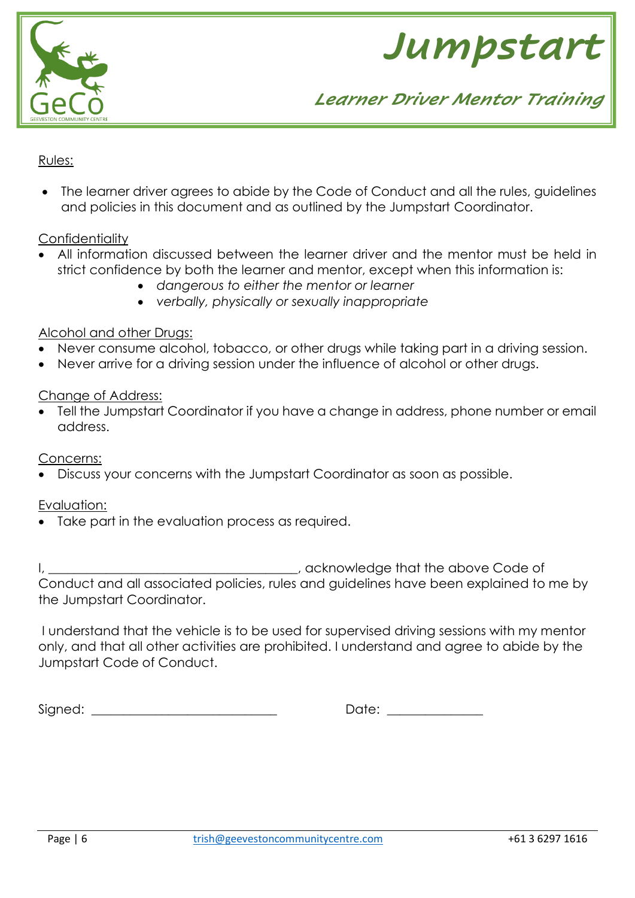



# Rules:

• The learner driver agrees to abide by the Code of Conduct and all the rules, guidelines and policies in this document and as outlined by the Jumpstart Coordinator.

### **Confidentiality**

- All information discussed between the learner driver and the mentor must be held in strict confidence by both the learner and mentor, except when this information is:
	- *dangerous to either the mentor or learner*
	- *verbally, physically or sexually inappropriate*

## Alcohol and other Drugs:

- Never consume alcohol, tobacco, or other drugs while taking part in a driving session.
- Never arrive for a driving session under the influence of alcohol or other drugs.

### Change of Address:

• Tell the Jumpstart Coordinator if you have a change in address, phone number or email address.

Concerns:

• Discuss your concerns with the Jumpstart Coordinator as soon as possible.

### Evaluation:

• Take part in the evaluation process as required.

I, \_\_\_\_\_\_\_\_\_\_\_\_\_\_\_\_\_\_\_\_\_\_\_\_\_\_\_\_\_\_\_\_\_\_\_, acknowledge that the above Code of Conduct and all associated policies, rules and guidelines have been explained to me by the Jumpstart Coordinator.

I understand that the vehicle is to be used for supervised driving sessions with my mentor only, and that all other activities are prohibited. I understand and agree to abide by the Jumpstart Code of Conduct.

Signed:  $\Box$ 

| <b>.</b><br>٠.<br>$\cdot$ |  |
|---------------------------|--|
|                           |  |